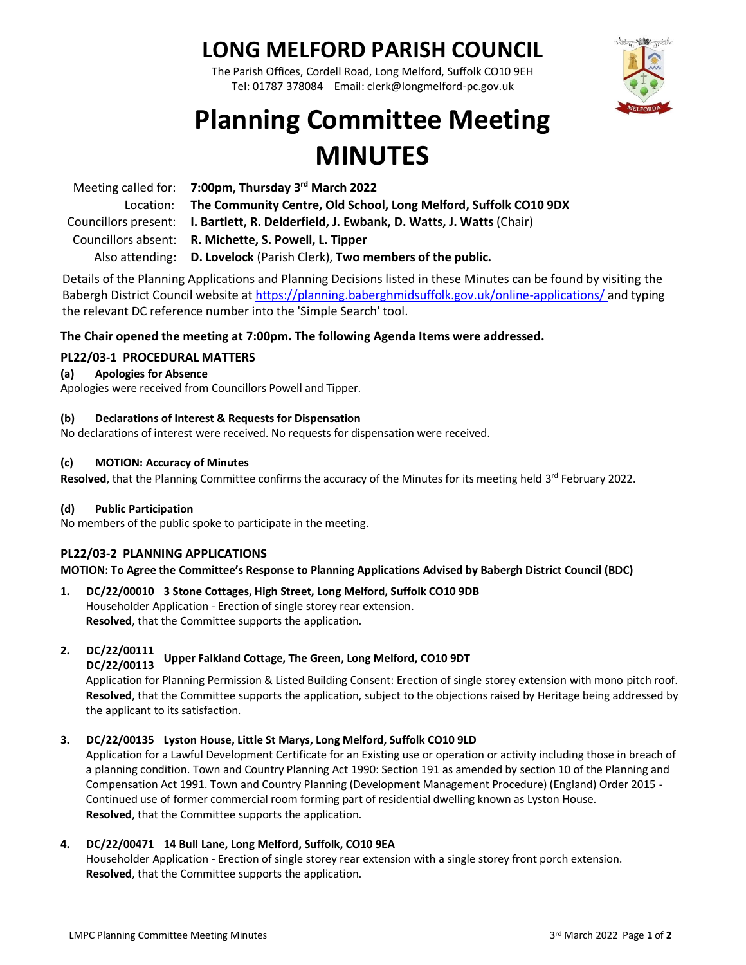# **LONG MELFORD PARISH COUNCIL**

The Parish Offices, Cordell Road, Long Melford, Suffolk CO10 9EH Tel: 01787 378084 Email: clerk@longmelford-pc.gov.uk



# **Planning Committee Meeting MINUTES**

| Meeting called for: 7:00pm, Thursday 3rd March 2022                                     |
|-----------------------------------------------------------------------------------------|
| Location: The Community Centre, Old School, Long Melford, Suffolk CO10 9DX              |
| Councillors present: I. Bartlett, R. Delderfield, J. Ewbank, D. Watts, J. Watts (Chair) |
| Councillors absent: R. Michette, S. Powell, L. Tipper                                   |
| Also attending: D. Lovelock (Parish Clerk), Two members of the public.                  |

Details of the Planning Applications and Planning Decisions listed in these Minutes can be found by visiting the Babergh District Council website at<https://planning.baberghmidsuffolk.gov.uk/online-applications/> and typing the relevant DC reference number into the 'Simple Search' tool.

# **The Chair opened the meeting at 7:00pm. The following Agenda Items were addressed.**

# **PL22/03-1 PROCEDURAL MATTERS**

# **(a) Apologies for Absence**

Apologies were received from Councillors Powell and Tipper.

# **(b) Declarations of Interest & Requests for Dispensation**

No declarations of interest were received. No requests for dispensation were received.

### **(c) MOTION: Accuracy of Minutes**

Resolved, that the Planning Committee confirms the accuracy of the Minutes for its meeting held 3<sup>rd</sup> February 2022.

# **(d) Public Participation**

No members of the public spoke to participate in the meeting.

# **PL22/03-2 PLANNING APPLICATIONS**

**MOTION: To Agree the Committee's Response to Planning Applications Advised by Babergh District Council (BDC)**

# **1. DC/22/00010 3 Stone Cottages, High Street, Long Melford, Suffolk CO10 9DB** Householder Application - Erection of single storey rear extension. **Resolved**, that the Committee supports the application.

#### **2. DC/22/00111 DC/22/00113 Upper Falkland Cottage, The Green, Long Melford, CO10 9DT**

Application for Planning Permission & Listed Building Consent: Erection of single storey extension with mono pitch roof. **Resolved**, that the Committee supports the application, subject to the objections raised by Heritage being addressed by the applicant to its satisfaction.

# **3. DC/22/00135 Lyston House, Little St Marys, Long Melford, Suffolk CO10 9LD**

Application for a Lawful Development Certificate for an Existing use or operation or activity including those in breach of a planning condition. Town and Country Planning Act 1990: Section 191 as amended by section 10 of the Planning and Compensation Act 1991. Town and Country Planning (Development Management Procedure) (England) Order 2015 - Continued use of former commercial room forming part of residential dwelling known as Lyston House. **Resolved**, that the Committee supports the application.

# **4. DC/22/00471 14 Bull Lane, Long Melford, Suffolk, CO10 9EA**

Householder Application - Erection of single storey rear extension with a single storey front porch extension. **Resolved**, that the Committee supports the application.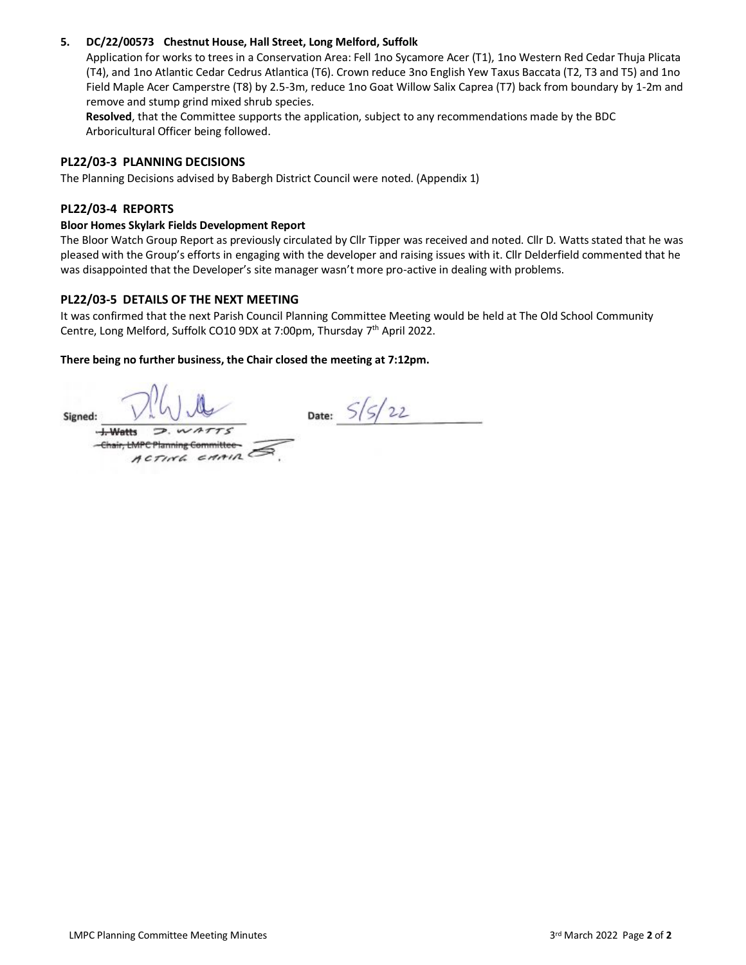# **5. DC/22/00573 Chestnut House, Hall Street, Long Melford, Suffolk**

Application for works to trees in a Conservation Area: Fell 1no Sycamore Acer (T1), 1no Western Red Cedar Thuja Plicata (T4), and 1no Atlantic Cedar Cedrus Atlantica (T6). Crown reduce 3no English Yew Taxus Baccata (T2, T3 and T5) and 1no Field Maple Acer Camperstre (T8) by 2.5-3m, reduce 1no Goat Willow Salix Caprea (T7) back from boundary by 1-2m and remove and stump grind mixed shrub species.

**Resolved**, that the Committee supports the application, subject to any recommendations made by the BDC Arboricultural Officer being followed.

# **PL22/03-3 PLANNING DECISIONS**

The Planning Decisions advised by Babergh District Council were noted. (Appendix 1)

# **PL22/03-4 REPORTS**

# **Bloor Homes Skylark Fields Development Report**

The Bloor Watch Group Report as previously circulated by Cllr Tipper was received and noted. Cllr D. Watts stated that he was pleased with the Group's efforts in engaging with the developer and raising issues with it. Cllr Delderfield commented that he was disappointed that the Developer's site manager wasn't more pro-active in dealing with problems.

# **PL22/03-5 DETAILS OF THE NEXT MEETING**

It was confirmed that the next Parish Council Planning Committee Meeting would be held at The Old School Community Centre, Long Melford, Suffolk CO10 9DX at 7:00pm, Thursday 7<sup>th</sup> April 2022.

# **There being no further business, the Chair closed the meeting at 7:12pm.**

Date:  $5/5/22$ Signed:  $D.WATTS$  $+$  Watts -Chair, LMPC Planning Committee- $\pi$  c  $\pi$ <sub>n</sub>  $\pi$ <sub>n</sub>  $\pi$ <sub>n</sub>  $\pi$